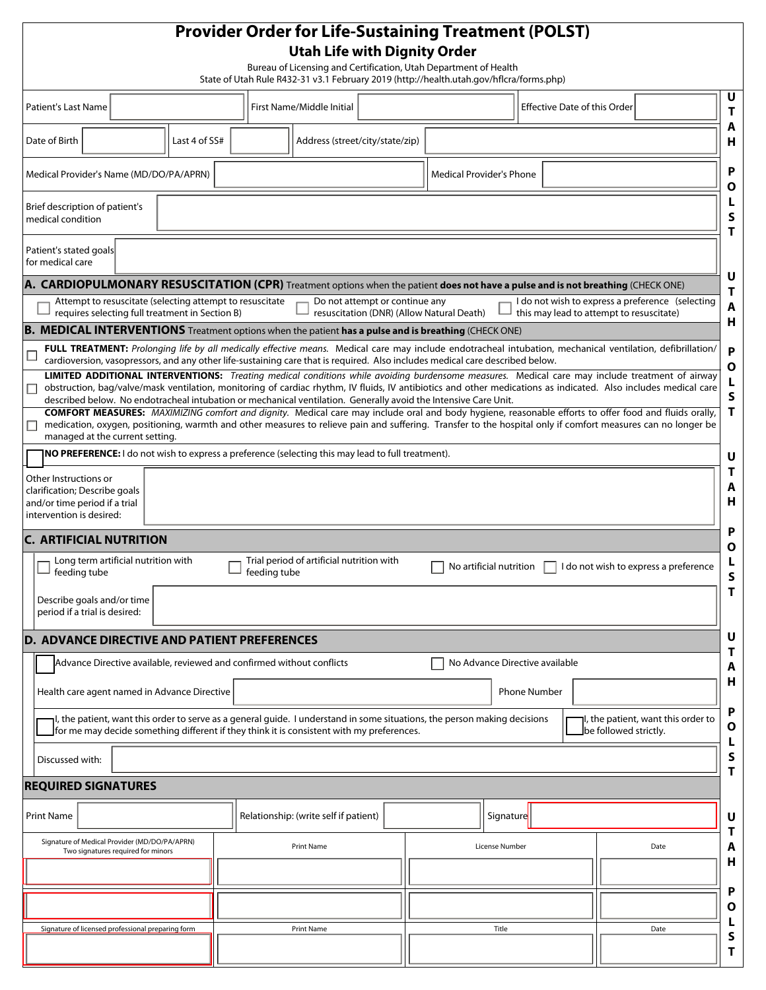|                                                                                                                                                                                                       |                                    |                                                 |                                                                       | <b>Utah Life with Dignity Order</b><br>Bureau of Licensing and Certification, Utah Department of Health<br>State of Utah Rule R432-31 v3.1 February 2019 (http://health.utah.gov/hflcra/forms.php)                                                                                     |                                |                     |                                          |                       |                                                  |
|-------------------------------------------------------------------------------------------------------------------------------------------------------------------------------------------------------|------------------------------------|-------------------------------------------------|-----------------------------------------------------------------------|----------------------------------------------------------------------------------------------------------------------------------------------------------------------------------------------------------------------------------------------------------------------------------------|--------------------------------|---------------------|------------------------------------------|-----------------------|--------------------------------------------------|
| <b>Patient's Last Name</b>                                                                                                                                                                            |                                    |                                                 |                                                                       | First Name/Middle Initial                                                                                                                                                                                                                                                              |                                |                     | <b>Effective Date of this Order</b>      |                       |                                                  |
| Date of Birth                                                                                                                                                                                         |                                    | Last 4 of SS#                                   |                                                                       | Address (street/city/state/zip)                                                                                                                                                                                                                                                        |                                |                     |                                          |                       |                                                  |
| Medical Provider's Name (MD/DO/PA/APRN)                                                                                                                                                               |                                    |                                                 |                                                                       |                                                                                                                                                                                                                                                                                        | Medical Provider's Phone       |                     |                                          |                       |                                                  |
| Brief description of patient's<br>medical condition                                                                                                                                                   |                                    |                                                 |                                                                       |                                                                                                                                                                                                                                                                                        |                                |                     |                                          |                       |                                                  |
| Patient's stated goals<br>for medical care                                                                                                                                                            |                                    |                                                 |                                                                       |                                                                                                                                                                                                                                                                                        |                                |                     |                                          |                       |                                                  |
|                                                                                                                                                                                                       |                                    |                                                 |                                                                       | A. CARDIOPULMONARY RESUSCITATION (CPR) Treatment options when the patient does not have a pulse and is not breathing (CHECK ONE)                                                                                                                                                       |                                |                     |                                          |                       |                                                  |
|                                                                                                                                                                                                       |                                    |                                                 | Attempt to resuscitate (selecting attempt to resuscitate              | Do not attempt or continue any                                                                                                                                                                                                                                                         |                                |                     |                                          |                       | I do not wish to express a preference (selecting |
|                                                                                                                                                                                                       |                                    | requires selecting full treatment in Section B) |                                                                       | resuscitation (DNR) (Allow Natural Death)<br><b>B. MEDICAL INTERVENTIONS</b> Treatment options when the patient has a pulse and is breathing (CHECK ONE)                                                                                                                               |                                |                     | this may lead to attempt to resuscitate) |                       |                                                  |
|                                                                                                                                                                                                       |                                    |                                                 |                                                                       | FULL TREATMENT: Prolonging life by all medically effective means. Medical care may include endotracheal intubation, mechanical ventilation, defibrillation/                                                                                                                            |                                |                     |                                          |                       |                                                  |
|                                                                                                                                                                                                       |                                    |                                                 |                                                                       | cardioversion, vasopressors, and any other life-sustaining care that is required. Also includes medical care described below.<br><b>LIMITED ADDITIONAL INTERVENTIONS:</b> Treating medical conditions while avoiding burdensome measures. Medical care may include treatment of airway |                                |                     |                                          |                       |                                                  |
| □                                                                                                                                                                                                     |                                    |                                                 |                                                                       | obstruction, bag/valve/mask ventilation, monitoring of cardiac rhythm, IV fluids, IV antibiotics and other medications as indicated. Also includes medical care                                                                                                                        |                                |                     |                                          |                       |                                                  |
|                                                                                                                                                                                                       |                                    |                                                 |                                                                       | described below. No endotracheal intubation or mechanical ventilation. Generally avoid the Intensive Care Unit.<br><b>COMFORT MEASURES:</b> MAXIMIZING comfort and dignity. Medical care may include oral and body hygiene, reasonable efforts to offer food and fluids orally,        |                                |                     |                                          |                       |                                                  |
| managed at the current setting.                                                                                                                                                                       |                                    |                                                 |                                                                       | medication, oxygen, positioning, warmth and other measures to relieve pain and suffering. Transfer to the hospital only if comfort measures can no longer be                                                                                                                           |                                |                     |                                          |                       |                                                  |
|                                                                                                                                                                                                       |                                    |                                                 |                                                                       | NO PREFERENCE: I do not wish to express a preference (selecting this may lead to full treatment).                                                                                                                                                                                      |                                |                     |                                          |                       |                                                  |
|                                                                                                                                                                                                       |                                    |                                                 |                                                                       |                                                                                                                                                                                                                                                                                        |                                |                     |                                          |                       |                                                  |
|                                                                                                                                                                                                       |                                    |                                                 |                                                                       |                                                                                                                                                                                                                                                                                        |                                |                     |                                          |                       |                                                  |
|                                                                                                                                                                                                       |                                    |                                                 |                                                                       |                                                                                                                                                                                                                                                                                        |                                |                     |                                          |                       |                                                  |
|                                                                                                                                                                                                       |                                    |                                                 |                                                                       |                                                                                                                                                                                                                                                                                        |                                |                     |                                          |                       |                                                  |
|                                                                                                                                                                                                       |                                    |                                                 |                                                                       |                                                                                                                                                                                                                                                                                        |                                |                     |                                          |                       |                                                  |
| Long term artificial nutrition with<br>feeding tube                                                                                                                                                   |                                    |                                                 | feeding tube                                                          | Trial period of artificial nutrition with                                                                                                                                                                                                                                              | No artificial nutrition        |                     |                                          |                       | I do not wish to express a preference            |
| Describe goals and/or time<br>period if a trial is desired:                                                                                                                                           |                                    |                                                 |                                                                       |                                                                                                                                                                                                                                                                                        |                                |                     |                                          |                       |                                                  |
|                                                                                                                                                                                                       |                                    |                                                 |                                                                       |                                                                                                                                                                                                                                                                                        |                                |                     |                                          |                       |                                                  |
|                                                                                                                                                                                                       |                                    |                                                 |                                                                       |                                                                                                                                                                                                                                                                                        | No Advance Directive available |                     |                                          |                       |                                                  |
|                                                                                                                                                                                                       |                                    |                                                 | Advance Directive available, reviewed and confirmed without conflicts |                                                                                                                                                                                                                                                                                        |                                |                     |                                          |                       |                                                  |
| Health care agent named in Advance Directive                                                                                                                                                          |                                    |                                                 |                                                                       |                                                                                                                                                                                                                                                                                        |                                | <b>Phone Number</b> |                                          |                       |                                                  |
| Other Instructions or<br>clarification; Describe goals<br>and/or time period if a trial<br>intervention is desired:<br><b>C. ARTIFICIAL NUTRITION</b><br>D. ADVANCE DIRECTIVE AND PATIENT PREFERENCES |                                    |                                                 |                                                                       | I, the patient, want this order to serve as a general guide. I understand in some situations, the person making decisions<br>for me may decide something different if they think it is consistent with my preferences.                                                                 |                                |                     |                                          | be followed strictly. | I, the patient, want this order to               |
| Discussed with:                                                                                                                                                                                       |                                    |                                                 |                                                                       |                                                                                                                                                                                                                                                                                        |                                |                     |                                          |                       |                                                  |
|                                                                                                                                                                                                       |                                    |                                                 |                                                                       |                                                                                                                                                                                                                                                                                        |                                |                     |                                          |                       |                                                  |
|                                                                                                                                                                                                       |                                    |                                                 |                                                                       | Relationship: (write self if patient)                                                                                                                                                                                                                                                  |                                | Signature           |                                          |                       |                                                  |
| Signature of Medical Provider (MD/DO/PA/APRN)                                                                                                                                                         |                                    |                                                 |                                                                       | <b>Print Name</b>                                                                                                                                                                                                                                                                      |                                | License Number      |                                          |                       | Date                                             |
|                                                                                                                                                                                                       | Two signatures required for minors |                                                 |                                                                       |                                                                                                                                                                                                                                                                                        |                                |                     |                                          |                       |                                                  |
| <b>REQUIRED SIGNATURES</b><br><b>Print Name</b>                                                                                                                                                       |                                    |                                                 |                                                                       |                                                                                                                                                                                                                                                                                        |                                |                     |                                          |                       |                                                  |
|                                                                                                                                                                                                       |                                    |                                                 |                                                                       |                                                                                                                                                                                                                                                                                        |                                |                     |                                          |                       |                                                  |
| Signature of licensed professional preparing form                                                                                                                                                     |                                    |                                                 |                                                                       | <b>Print Name</b>                                                                                                                                                                                                                                                                      |                                | Title               |                                          |                       | Date                                             |